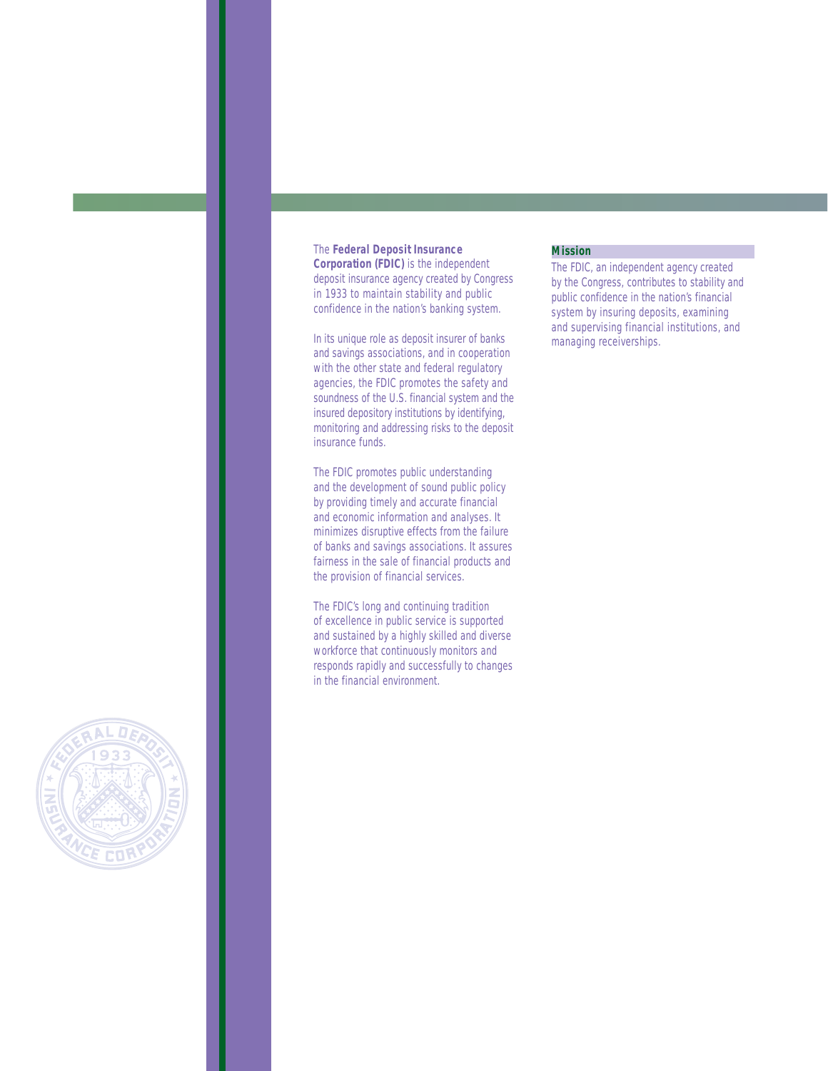# The **Federal Deposit Insurance**

**Corporation (FDIC)** is the independent deposit insurance agency created by Congress in 1933 to maintain stability and public confidence in the nation's banking system.

In its unique role as deposit insurer of banks and savings associations, and in cooperation with the other state and federal regulatory agencies, the FDIC promotes the safety and soundness of the U.S. financial system and the insured depository institutions by identifying, monitoring and addressing risks to the deposit insurance funds.

The FDIC promotes public understanding and the development of sound public policy by providing timely and accurate financial and economic information and analyses. It minimizes disruptive effects from the failure of banks and savings associations. It assures fairness in the sale of financial products and the provision of financial services.

The FDIC's long and continuing tradition of excellence in public service is supported and sustained by a highly skilled and diverse workforce that continuously monitors and responds rapidly and successfully to changes in the financial environment.

### **Mission**

The FDIC, an independent agency created by the Congress, contributes to stability and public confidence in the nation's financial system by insuring deposits, examining and supervising financial institutions, and managing receiverships.

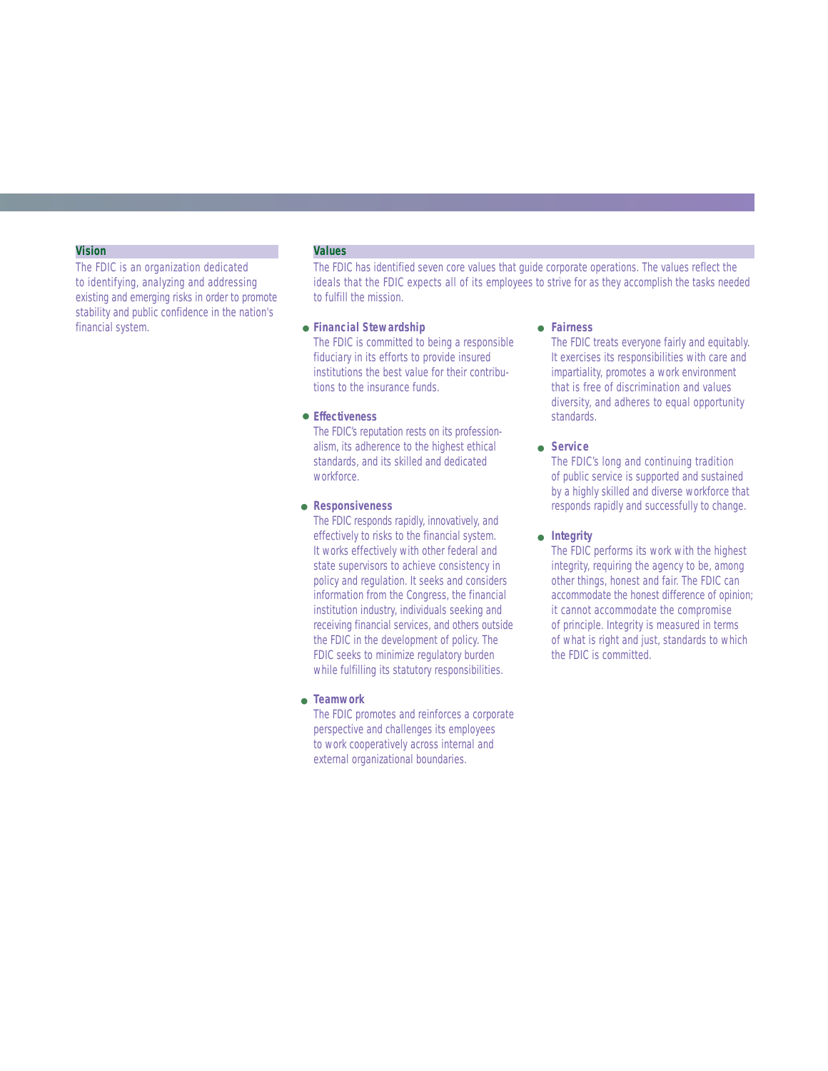### **Vision**

The FDIC is an organization dedicated to identifying, analyzing and addressing existing and emerging risks in order to promote stability and public confidence in the nation's financial system. **Financial Stewardship** 

# **Values**

The FDIC has identified seven core values that guide corporate operations. The values reflect the ideals that the FDIC expects all of its employees to strive for as they accomplish the tasks needed to fulfill the mission.

The FDIC is committed to being a responsible fiduciary in its efforts to provide insured institutions the best value for their contributions to the insurance funds.

# **Effectiveness** ●

The FDIC's reputation rests on its professionalism, its adherence to the highest ethical standards, and its skilled and dedicated workforce.

#### **Responsiveness** ●

The FDIC responds rapidly, innovatively, and effectively to risks to the financial system. It works effectively with other federal and state supervisors to achieve consistency in policy and regulation. It seeks and considers information from the Congress, the financial institution industry, individuals seeking and receiving financial services, and others outside the FDIC in the development of policy. The FDIC seeks to minimize regulatory burden while fulfilling its statutory responsibilities.

# **Teamwork** ●

The FDIC promotes and reinforces a corporate perspective and challenges its employees to work cooperatively across internal and external organizational boundaries.

#### **Fairness** ●

The FDIC treats everyone fairly and equitably. It exercises its responsibilities with care and impartiality, promotes a work environment that is free of discrimination and values diversity, and adheres to equal opportunity standards.

#### **Service** ●

The FDIC's long and continuing tradition of public service is supported and sustained by a highly skilled and diverse workforce that responds rapidly and successfully to change.

# ● Integrity

The FDIC performs its work with the highest integrity, requiring the agency to be, among other things, honest and fair. The FDIC can accommodate the honest difference of opinion; it cannot accommodate the compromise of principle. Integrity is measured in terms of what is right and just, standards to which the FDIC is committed.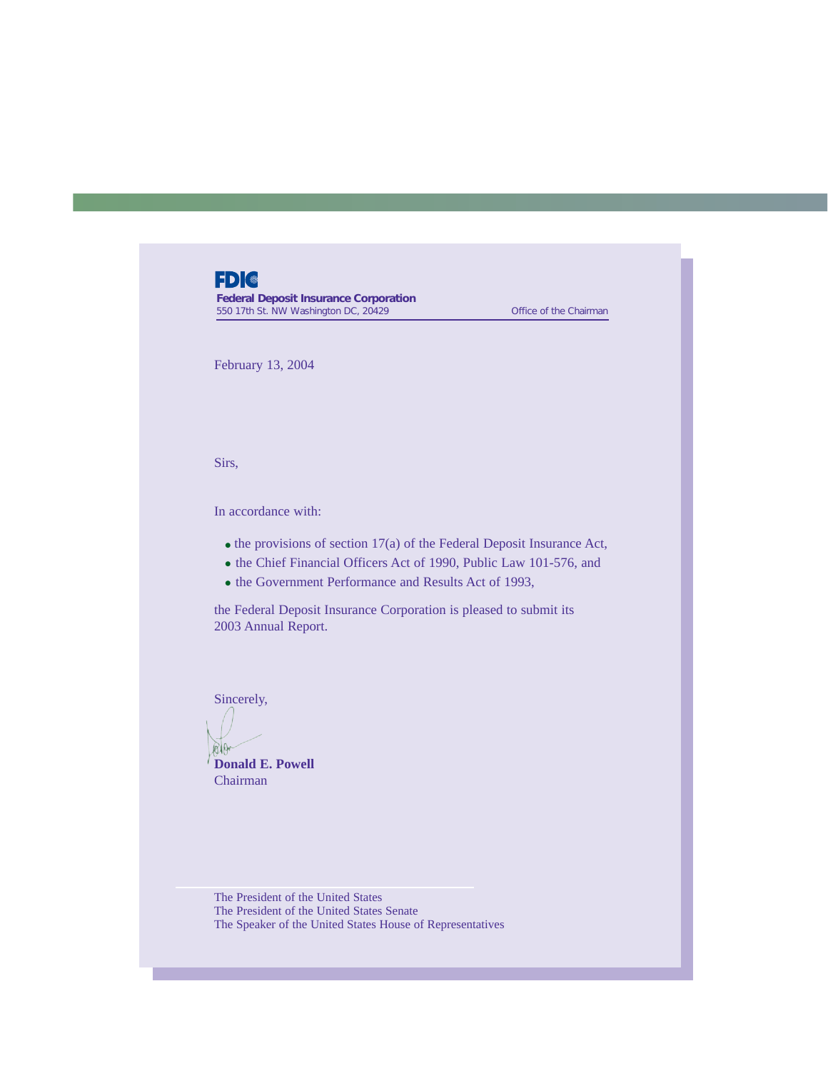# **FDI®**

**Federal Deposit Insurance Corporation** 550 17th St. NW Washington DC, 20429 Contract of the Chairman

February 13, 2004

Sirs,

In accordance with:

- $\bullet$  the provisions of section 17(a) of the Federal Deposit Insurance Act,
- the Chief Financial Officers Act of 1990, Public Law 101-576, and
- the Government Performance and Results Act of 1993,

the Federal Deposit Insurance Corporation is pleased to submit its 2003 Annual Report.

Sincerely,

alar **Donald E. Powell**

Chairman

The President of the United States The President of the United States Senate The Speaker of the United States House of Representatives